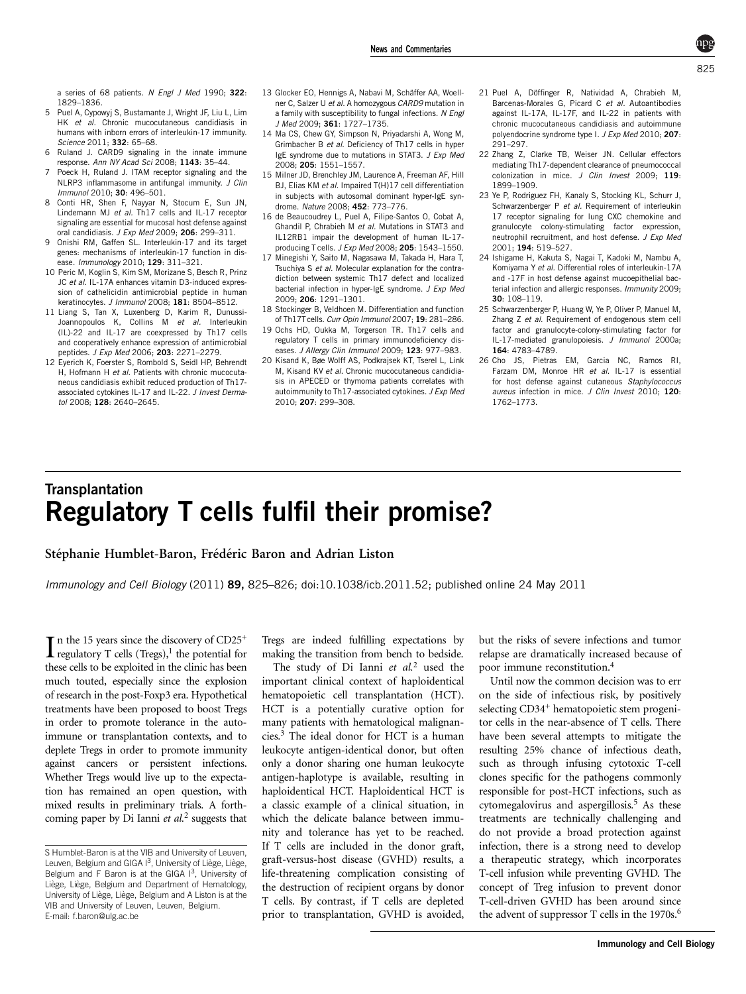<span id="page-0-0"></span>a series of 68 patients. N Engl J Med 1990; 322: 1829–1836.

- 5 Puel A, Cypowyj S, Bustamante J, Wright JF, Liu L, Lim HK et al. Chronic mucocutaneous candidiasis in humans with inborn errors of interleukin-17 immunity. Science 2011; 332: 65–68.
- 6 Ruland J. CARD9 signaling in the innate immune response. Ann NY Acad Sci 2008; 1143: 35–44.
- 7 Poeck H, Ruland J. ITAM receptor signaling and the NLRP3 inflammasome in antifungal immunity. J Clin Immunol 2010; 30: 496–501.
- 8 Conti HR, Shen F, Nayyar N, Stocum E, Sun JN, Lindemann MJ et al. Th17 cells and IL-17 receptor signaling are essential for mucosal host defense against oral candidiasis. J Exp Med 2009; 206: 299–311.
- 9 Onishi RM, Gaffen SL. Interleukin-17 and its target genes: mechanisms of interleukin-17 function in disease. Immunology 2010; 129: 311–321.
- 10 Peric M, Koglin S, Kim SM, Morizane S, Besch R, Prinz JC et al. IL-17A enhances vitamin D3-induced expression of cathelicidin antimicrobial peptide in human keratinocytes. J Immunol 2008; 181: 8504–8512.
- 11 Liang S, Tan X, Luxenberg D, Karim R, Dunussi-Joannopoulos K, Collins M et al. Interleukin (IL)-22 and IL-17 are coexpressed by Th17 cells and cooperatively enhance expression of antimicrobial peptides. J Exp Med 2006; 203: 2271–2279.
- 12 Eyerich K, Foerster S, Rombold S, Seidl HP, Behrendt H. Hofmann H et al. Patients with chronic mucocutaneous candidiasis exhibit reduced production of Th17 associated cytokines IL-17 and IL-22. J Invest Dermatol 2008: 128: 2640-2645.
- 13 Glocker EO, Hennigs A, Nabavi M, Schäffer AA, Woellner C, Salzer U et al. A homozygous CARD9 mutation in a family with susceptibility to fungal infections. N Engl J Med 2009; 361: 1727–1735.
- 14 Ma CS, Chew GY, Simpson N, Priyadarshi A, Wong M, Grimbacher B et al. Deficiency of Th17 cells in hyper IgE syndrome due to mutations in STAT3. J Exp Med 2008; 205: 1551–1557.
- 15 Milner JD, Brenchley JM, Laurence A, Freeman AF, Hill BJ, Elias KM et al. Impaired T(H)17 cell differentiation in subjects with autosomal dominant hyper-IgE syndrome. Nature 2008; 452: 773–776.
- 16 de Beaucoudrey L, Puel A, Filipe-Santos O, Cobat A, Ghandil P, Chrabieh M et al. Mutations in STAT3 and IL12RB1 impair the development of human IL-17 producing T cells. J Exp Med 2008; 205: 1543-1550.
- 17 Minegishi Y, Saito M, Nagasawa M, Takada H, Hara T, Tsuchiya S et al. Molecular explanation for the contradiction between systemic Th17 defect and localized bacterial infection in hyper-IgE syndrome. J Exp Med 2009; 206: 1291–1301.
- 18 Stockinger B, Veldhoen M. Differentiation and function of Th17T cells. Curr Opin Immunol 2007; 19: 281-286.
- 19 Ochs HD, Oukka M, Torgerson TR. Th17 cells and regulatory T cells in primary immunodeficiency diseases. J Allergy Clin Immunol 2009; 123: 977-983.
- 20 Kisand K, Bøe Wolff AS, Podkrajsek KT, Tserel L, Link M. Kisand KV et al. Chronic mucocutaneous candidiasis in APECED or thymoma patients correlates with autoimmunity to Th17-associated cytokines. J Exp Med 2010; 207: 299–308.
- 21 Puel A, Döffinger R, Natividad A, Chrabieh M, Barcenas-Morales G, Picard C et al. Autoantibodies against IL-17A, IL-17F, and IL-22 in patients with chronic mucocutaneous candidiasis and autoimmune polyendocrine syndrome type I. J Exp Med 2010; 207: 291–297.
- 22 Zhang Z, Clarke TB, Weiser JN. Cellular effectors mediating Th17-dependent clearance of pneumococcal colonization in mice. J Clin Invest 2009; 119: 1899–1909.
- 23 Ye P, Rodriguez FH, Kanaly S, Stocking KL, Schurr J, Schwarzenberger P et al. Requirement of interleukin 17 receptor signaling for lung CXC chemokine and granulocyte colony-stimulating factor expression, neutrophil recruitment, and host defense. J Exp Med 2001; 194: 519–527.
- 24 Ishigame H, Kakuta S, Nagai T, Kadoki M, Nambu A, Komiyama Y et al. Differential roles of interleukin-17A and -17F in host defense against mucoepithelial bacterial infection and allergic responses. Immunity 2009; 30: 108–119.
- 25 Schwarzenberger P, Huang W, Ye P, Oliver P, Manuel M, Zhang Z et al. Requirement of endogenous stem cell factor and granulocyte-colony-stimulating factor for IL-17-mediated granulopoiesis. J Immunol 2000a; 164: 4783–4789.
- 26 Cho JS, Pietras EM, Garcia NC, Ramos RI, Farzam DM, Monroe HR et al. IL-17 is essential for host defense against cutaneous Staphylococcus aureus infection in mice. J Clin Invest 2010; 120: 1762–1773.

## **Transplantation** Regulatory T cells fulfil their promise?

## Stéphanie Humblet-Baron, Frédéric Baron and Adrian Liston

Immunology and Cell Biology (2011) 89, 825–826; doi:10.1038/icb.2011.52; published online 24 May 2011

In the 15 years since the discovery of CD25<sup>+</sup><br>regulatory T cells (Tregs),<sup>1</sup> the potential for regulatory T cells  $(Tregs)$ ,<sup>1</sup> the potential for these cells to be exploited in the clinic has been much touted, especially since the explosion of research in the post-Foxp3 era. Hypothetical treatments have been proposed to boost Tregs in order to promote tolerance in the autoimmune or transplantation contexts, and to deplete Tregs in order to promote immunity against cancers or persistent infections. Whether Tregs would live up to the expectation has remained an open question, with mixed results in preliminary trials. A forthcoming paper by Di Ianni  $et$   $al$ <sup>2</sup> suggests that Tregs are indeed fulfilling expectations by making the transition from bench to bedside.

The study of Di Ianni et  $al<sup>2</sup>$  used the important clinical context of haploidentical hematopoietic cell transplantation (HCT). HCT is a potentially curative option for many patients with hematological malignancies.3 The ideal donor for HCT is a human leukocyte antigen-identical donor, but often only a donor sharing one human leukocyte antigen-haplotype is available, resulting in haploidentical HCT. Haploidentical HCT is a classic example of a clinical situation, in which the delicate balance between immunity and tolerance has yet to be reached. If T cells are included in the donor graft, graft-versus-host disease (GVHD) results, a life-threatening complication consisting of the destruction of recipient organs by donor T cells. By contrast, if T cells are depleted prior to transplantation, GVHD is avoided,

but the risks of severe infections and tumor relapse are dramatically increased because of poor immune reconstitution.4

Until now the common decision was to err on the side of infectious risk, by positively selecting CD34<sup>+</sup> hematopoietic stem progenitor cells in the near-absence of T cells. There have been several attempts to mitigate the resulting 25% chance of infectious death, such as through infusing cytotoxic T-cell clones specific for the pathogens commonly responsible for post-HCT infections, such as cytomegalovirus and aspergillosis.<sup>5</sup> As these treatments are technically challenging and do not provide a broad protection against infection, there is a strong need to develop a therapeutic strategy, which incorporates T-cell infusion while preventing GVHD. The concept of Treg infusion to prevent donor T-cell-driven GVHD has been around since the advent of suppressor T cells in the  $1970s$ .<sup>6</sup>

S Humblet-Baron is at the VIB and University of Leuven, Leuven, Belgium and GIGA  $I<sup>3</sup>$ , University of Liège, Liège, Belgium and F Baron is at the GIGA  $1^3$ , University of Liège, Liège, Belgium and Department of Hematology, University of Liège, Liège, Belgium and A Liston is at the VIB and University of Leuven, Leuven, Belgium. E-mail: f.baron@ulg.ac.be